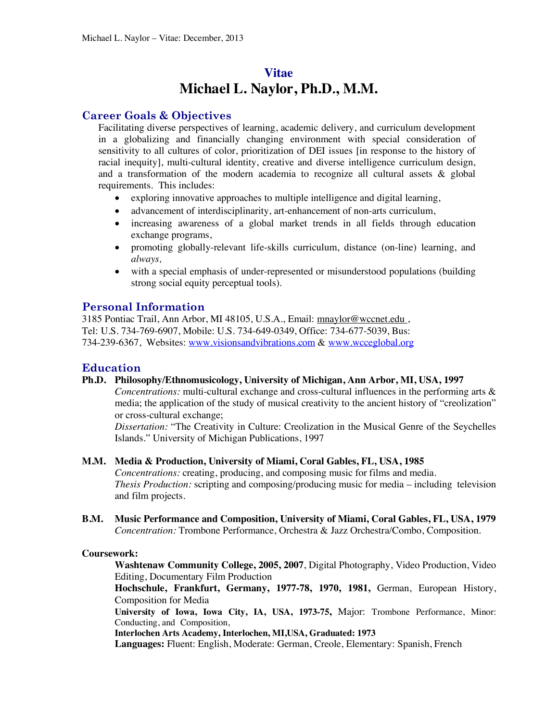# **Vitae Michael L. Naylor, Ph.D***.***, M.M.**

# **Career Goals & Objectives**

Facilitating diverse perspectives of learning, academic delivery, and curriculum development in a globalizing and financially changing environment with special consideration of sensitivity to all cultures of color, prioritization of DEI issues [in response to the history of racial inequity], multi-cultural identity, creative and diverse intelligence curriculum design, and a transformation of the modern academia to recognize all cultural assets & global requirements. This includes:

- exploring innovative approaches to multiple intelligence and digital learning,
- advancement of interdisciplinarity, art-enhancement of non-arts curriculum,
- increasing awareness of a global market trends in all fields through education exchange programs,
- promoting globally-relevant life-skills curriculum, distance (on-line) learning, and *always,*
- with a special emphasis of under-represented or misunderstood populations (building strong social equity perceptual tools).

# **Personal Information**

3185 Pontiac Trail, Ann Arbor, MI 48105, U.S.A., Email: mnaylor@wccnet.edu , Tel: U.S. 734-769-6907, Mobile: U.S. 734-649-0349, Office: 734-677-5039, Bus: 734-239-6367, Websites: www.visionsandvibrations.com & www.wcceglobal.org

# **Education**

**Ph.D. Philosophy/Ethnomusicology, University of Michigan, Ann Arbor, MI, USA, 1997**

*Concentrations:* multi-cultural exchange and cross-cultural influences in the performing arts & media; the application of the study of musical creativity to the ancient history of "creolization" or cross-cultural exchange;

*Dissertation:* "The Creativity in Culture: Creolization in the Musical Genre of the Seychelles Islands." University of Michigan Publications, 1997

**M.M. Media & Production, University of Miami, Coral Gables, FL, USA, 1985**

*Concentrations:* creating, producing, and composing music for films and media. *Thesis Production:* scripting and composing/producing music for media – including television and film projects.

**B.M. Music Performance and Composition, University of Miami, Coral Gables, FL, USA, 1979** *Concentration:* Trombone Performance, Orchestra & Jazz Orchestra/Combo, Composition.

## **Coursework:**

**Washtenaw Community College, 2005, 2007**, Digital Photography, Video Production, Video Editing, Documentary Film Production

**Hochschule, Frankfurt, Germany, 1977-78, 1970, 1981,** German, European History, Composition for Media

**University of Iowa, Iowa City, IA, USA, 1973-75,** Major: Trombone Performance, Minor: Conducting, and Composition,

**Interlochen Arts Academy, Interlochen, MI,USA, Graduated: 1973**

**Languages:** Fluent: English, Moderate: German, Creole, Elementary: Spanish, French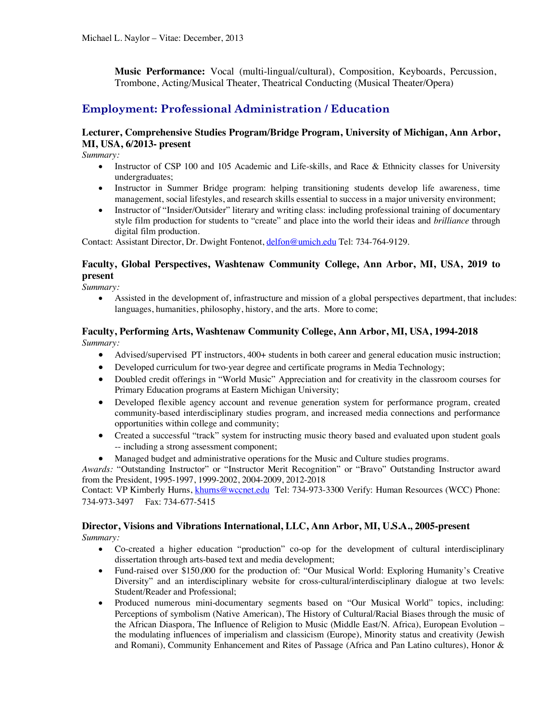**Music Performance:** Vocal (multi-lingual/cultural), Composition, Keyboards, Percussion, Trombone, Acting/Musical Theater, Theatrical Conducting (Musical Theater/Opera)

# **Employment: Professional Administration / Education**

## **Lecturer, Comprehensive Studies Program/Bridge Program, University of Michigan, Ann Arbor, MI, USA, 6/2013- present**

*Summary:*

- Instructor of CSP 100 and 105 Academic and Life-skills, and Race & Ethnicity classes for University undergraduates;
- Instructor in Summer Bridge program: helping transitioning students develop life awareness, time management, social lifestyles, and research skills essential to success in a major university environment;
- Instructor of "Insider/Outsider" literary and writing class: including professional training of documentary style film production for students to "create" and place into the world their ideas and *brilliance* through digital film production.

Contact: Assistant Director, Dr. Dwight Fontenot, delfon@umich.edu Tel: 734-764-9129.

## **Faculty, Global Perspectives, Washtenaw Community College, Ann Arbor, MI, USA, 2019 to present**

*Summary:*

• Assisted in the development of, infrastructure and mission of a global perspectives department, that includes: languages, humanities, philosophy, history, and the arts. More to come;

#### **Faculty, Performing Arts, Washtenaw Community College, Ann Arbor, MI, USA, 1994-2018** *Summary:*

- Advised/supervised PT instructors, 400+ students in both career and general education music instruction;
- Developed curriculum for two-year degree and certificate programs in Media Technology;
- Doubled credit offerings in "World Music" Appreciation and for creativity in the classroom courses for Primary Education programs at Eastern Michigan University;
- Developed flexible agency account and revenue generation system for performance program, created community-based interdisciplinary studies program, and increased media connections and performance opportunities within college and community;
- Created a successful "track" system for instructing music theory based and evaluated upon student goals -- including a strong assessment component;
- Managed budget and administrative operations for the Music and Culture studies programs.

*Awards:* "Outstanding Instructor" or "Instructor Merit Recognition" or "Bravo" Outstanding Instructor award from the President, 1995-1997, 1999-2002, 2004-2009, 2012-2018

Contact: VP Kimberly Hurns, khurns@wccnet.edu Tel: 734-973-3300 Verify: Human Resources (WCC) Phone: 734-973-3497 Fax: 734-677-5415

#### **Director, Visions and Vibrations International, LLC, Ann Arbor, MI, U.S.A., 2005-present** *Summary:*

- Co-created a higher education "production" co-op for the development of cultural interdisciplinary dissertation through arts-based text and media development;
- Fund-raised over \$150,000 for the production of: "Our Musical World: Exploring Humanity's Creative Diversity" and an interdisciplinary website for cross-cultural/interdisciplinary dialogue at two levels: Student/Reader and Professional;
- Produced numerous mini-documentary segments based on "Our Musical World" topics, including: Perceptions of symbolism (Native American), The History of Cultural/Racial Biases through the music of the African Diaspora, The Influence of Religion to Music (Middle East/N. Africa), European Evolution – the modulating influences of imperialism and classicism (Europe), Minority status and creativity (Jewish and Romani), Community Enhancement and Rites of Passage (Africa and Pan Latino cultures), Honor &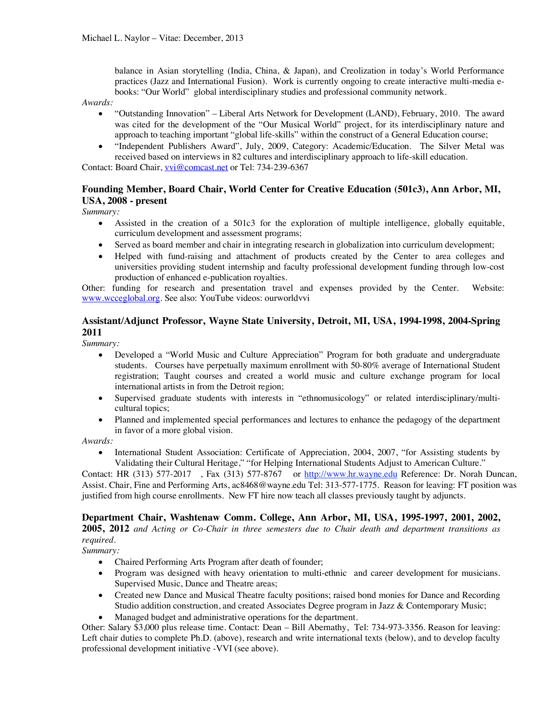balance in Asian storytelling (India, China, & Japan), and Creolization in today's World Performance practices (Jazz and International Fusion). Work is currently ongoing to create interactive multi-media ebooks: "Our World" global interdisciplinary studies and professional community network.

#### *Awards:*

- "Outstanding Innovation" Liberal Arts Network for Development (LAND), February, 2010. The award was cited for the development of the "Our Musical World" project, for its interdisciplinary nature and approach to teaching important "global life-skills" within the construct of a General Education course;
- "Independent Publishers Award", July, 2009, Category: Academic/Education. The Silver Metal was received based on interviews in 82 cultures and interdisciplinary approach to life-skill education.

Contact: Board Chair, vvi@comcast.net or Tel: 734-239-6367

## **Founding Member, Board Chair, World Center for Creative Education (501c3), Ann Arbor, MI, USA, 2008 - present**

*Summary:*

- Assisted in the creation of a 501c3 for the exploration of multiple intelligence, globally equitable, curriculum development and assessment programs;
- Served as board member and chair in integrating research in globalization into curriculum development;
- Helped with fund-raising and attachment of products created by the Center to area colleges and universities providing student internship and faculty professional development funding through low-cost production of enhanced e-publication royalties.

Other: funding for research and presentation travel and expenses provided by the Center. Website: www.wcceglobal.org. See also: YouTube videos: ourworldvvi

## **Assistant/Adjunct Professor, Wayne State University, Detroit, MI, USA, 1994-1998, 2004-Spring 2011**

*Summary:*

- Developed a "World Music and Culture Appreciation" Program for both graduate and undergraduate students. Courses have perpetually maximum enrollment with 50-80% average of International Student registration; Taught courses and created a world music and culture exchange program for local international artists in from the Detroit region;
- Supervised graduate students with interests in "ethnomusicology" or related interdisciplinary/multicultural topics;
- Planned and implemented special performances and lectures to enhance the pedagogy of the department in favor of a more global vision.

*Awards:* 

• International Student Association: Certificate of Appreciation, 2004, 2007, "for Assisting students by Validating their Cultural Heritage," "for Helping International Students Adjust to American Culture."

Contact: HR (313) 577-2017 , Fax (313) 577-8767 or http://www.hr.wayne.edu Reference: Dr. Norah Duncan, Assist. Chair, Fine and Performing Arts, ac8468@wayne.edu Tel: 313-577-1775. Reason for leaving: FT position was justified from high course enrollments. New FT hire now teach all classes previously taught by adjuncts.

#### **Department Chair, Washtenaw Comm. College, Ann Arbor, MI, USA, 1995-1997, 2001, 2002,**

**2005, 2012** *and Acting or Co-Chair in three semesters due to Chair death and department transitions as required.*

*Summary:*

- Chaired Performing Arts Program after death of founder;
- Program was designed with heavy orientation to multi-ethnic and career development for musicians. Supervised Music, Dance and Theatre areas;
- Created new Dance and Musical Theatre faculty positions; raised bond monies for Dance and Recording Studio addition construction, and created Associates Degree program in Jazz & Contemporary Music;
- Managed budget and administrative operations for the department.

Other: Salary \$3,000 plus release time. Contact: Dean – Bill Abernathy, Tel: 734-973-3356. Reason for leaving: Left chair duties to complete Ph.D. (above), research and write international texts (below), and to develop faculty professional development initiative -VVI (see above).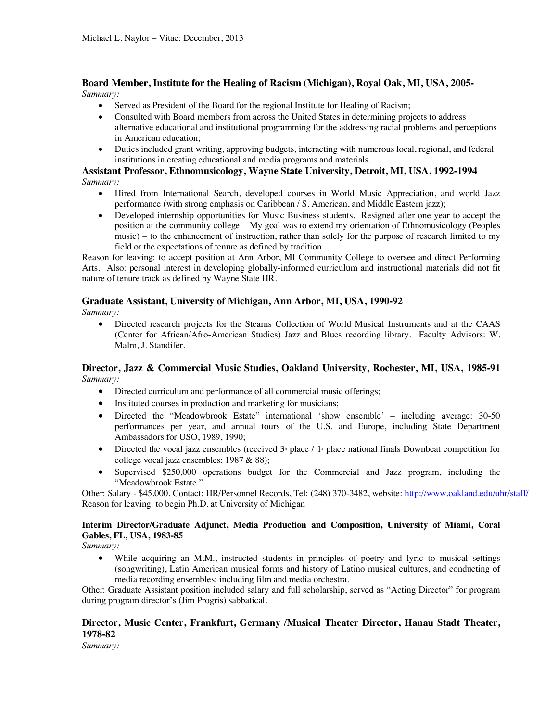#### **Board Member, Institute for the Healing of Racism (Michigan), Royal Oak, MI, USA, 2005-** *Summary:*

- Served as President of the Board for the regional Institute for Healing of Racism;
- Consulted with Board members from across the United States in determining projects to address alternative educational and institutional programming for the addressing racial problems and perceptions in American education;
- Duties included grant writing, approving budgets, interacting with numerous local, regional, and federal institutions in creating educational and media programs and materials.

#### **Assistant Professor, Ethnomusicology, Wayne State University, Detroit, MI, USA, 1992-1994** *Summary:*

- Hired from International Search, developed courses in World Music Appreciation, and world Jazz performance (with strong emphasis on Caribbean / S. American, and Middle Eastern jazz);
- Developed internship opportunities for Music Business students. Resigned after one year to accept the position at the community college. My goal was to extend my orientation of Ethnomusicology (Peoples music) – to the enhancement of instruction, rather than solely for the purpose of research limited to my field or the expectations of tenure as defined by tradition.

Reason for leaving: to accept position at Ann Arbor, MI Community College to oversee and direct Performing Arts. Also: personal interest in developing globally-informed curriculum and instructional materials did not fit nature of tenure track as defined by Wayne State HR.

# **Graduate Assistant, University of Michigan, Ann Arbor, MI, USA, 1990-92**

*Summary:*

• Directed research projects for the Stearns Collection of World Musical Instruments and at the CAAS (Center for African/Afro-American Studies) Jazz and Blues recording library. Faculty Advisors: W. Malm, J. Standifer.

## **Director, Jazz & Commercial Music Studies, Oakland University, Rochester, MI, USA, 1985-91**  *Summary:*

- Directed curriculum and performance of all commercial music offerings;
- Instituted courses in production and marketing for musicians;
- Directed the "Meadowbrook Estate" international 'show ensemble' including average: 30-50 performances per year, and annual tours of the U.S. and Europe, including State Department Ambassadors for USO, 1989, 1990;
- Directed the vocal jazz ensembles (received  $3<sup>*</sup>$  place *I* 1<sup>s</sup> place national finals Downbeat competition for college vocal jazz ensembles: 1987 & 88);
- Supervised \$250,000 operations budget for the Commercial and Jazz program, including the "Meadowbrook Estate."

Other: Salary - \$45,000, Contact: HR/Personnel Records, Tel: (248) 370-3482, website: http://www.oakland.edu/uhr/staff/ Reason for leaving: to begin Ph.D. at University of Michigan

#### **Interim Director/Graduate Adjunct, Media Production and Composition, University of Miami, Coral Gables, FL, USA, 1983-85**

*Summary:* 

• While acquiring an M.M., instructed students in principles of poetry and lyric to musical settings (songwriting), Latin American musical forms and history of Latino musical cultures, and conducting of media recording ensembles: including film and media orchestra.

Other: Graduate Assistant position included salary and full scholarship, served as "Acting Director" for program during program director's (Jim Progris) sabbatical.

## **Director, Music Center, Frankfurt, Germany /Musical Theater Director, Hanau Stadt Theater, 1978-82**

*Summary:*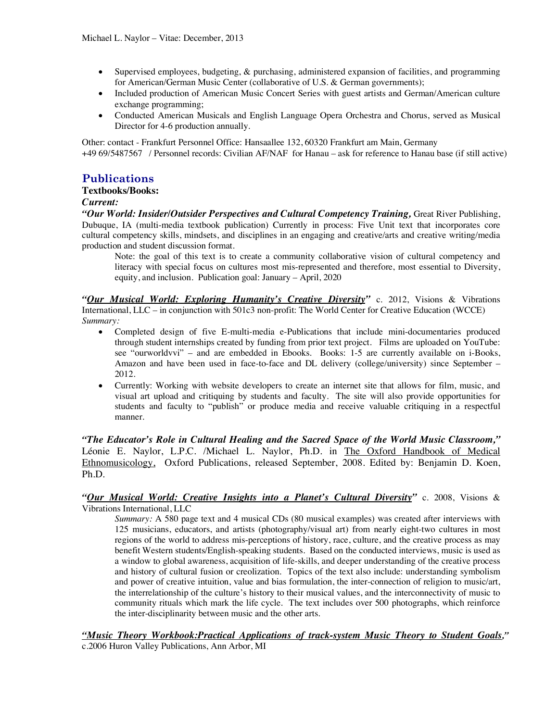- Supervised employees, budgeting, & purchasing, administered expansion of facilities, and programming for American/German Music Center (collaborative of U.S. & German governments);
- Included production of American Music Concert Series with guest artists and German/American culture exchange programming;
- Conducted American Musicals and English Language Opera Orchestra and Chorus, served as Musical Director for 4-6 production annually.

Other: contact - Frankfurt Personnel Office: Hansaallee 132, 60320 Frankfurt am Main, Germany +49 69/5487567 / Personnel records: Civilian AF/NAF for Hanau – ask for reference to Hanau base (if still active)

# **Publications**

#### **Textbooks/Books:**

## *Current:*

*"Our World: Insider/Outsider Perspectives and Cultural Competency Training,* Great River Publishing, Dubuque, IA (multi-media textbook publication) Currently in process: Five Unit text that incorporates core cultural competency skills, mindsets, and disciplines in an engaging and creative/arts and creative writing/media production and student discussion format.

Note: the goal of this text is to create a community collaborative vision of cultural competency and literacy with special focus on cultures most mis-represented and therefore, most essential to Diversity, equity, and inclusion. Publication goal: January – April, 2020

*"Our Musical World: Exploring Humanity's Creative Diversity"* c. 2012, Visions & Vibrations International, LLC – in conjunction with 501c3 non-profit: The World Center for Creative Education (WCCE) *Summary:*

- Completed design of five E-multi-media e-Publications that include mini-documentaries produced through student internships created by funding from prior text project. Films are uploaded on YouTube: see "ourworldvvi" – and are embedded in Ebooks. Books: 1-5 are currently available on i-Books, Amazon and have been used in face-to-face and DL delivery (college/university) since September – 2012.
- Currently: Working with website developers to create an internet site that allows for film, music, and visual art upload and critiquing by students and faculty. The site will also provide opportunities for students and faculty to "publish" or produce media and receive valuable critiquing in a respectful manner.

*"The Educator's Role in Cultural Healing and the Sacred Space of the World Music Classroom,"* Léonie E. Naylor, L.P.C. /Michael L. Naylor, Ph.D. in The Oxford Handbook of Medical Ethnomusicology, Oxford Publications, released September, 2008. Edited by: Benjamin D. Koen, Ph.D.

### *"Our Musical World: Creative Insights into a Planet's Cultural Diversity"* c. 2008, Visions & Vibrations International, LLC

*Summary:* A 580 page text and 4 musical CDs (80 musical examples) was created after interviews with 125 musicians, educators, and artists (photography/visual art) from nearly eight-two cultures in most regions of the world to address mis-perceptions of history, race, culture, and the creative process as may benefit Western students/English-speaking students. Based on the conducted interviews, music is used as a window to global awareness, acquisition of life-skills, and deeper understanding of the creative process and history of cultural fusion or creolization. Topics of the text also include: understanding symbolism and power of creative intuition, value and bias formulation, the inter-connection of religion to music/art, the interrelationship of the culture's history to their musical values, and the interconnectivity of music to community rituals which mark the life cycle. The text includes over 500 photographs, which reinforce the inter-disciplinarity between music and the other arts.

*"Music Theory Workbook:Practical Applications of track-system Music Theory to Student Goals,"* c.2006 Huron Valley Publications, Ann Arbor, MI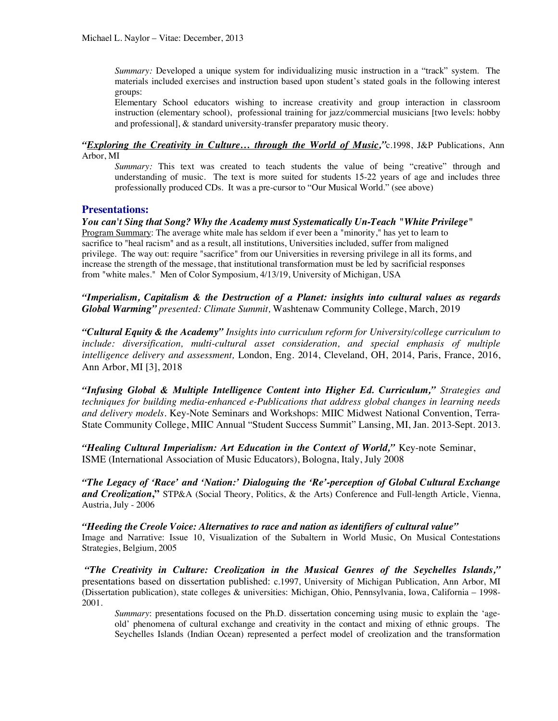*Summary:* Developed a unique system for individualizing music instruction in a "track" system. The materials included exercises and instruction based upon student's stated goals in the following interest groups:

Elementary School educators wishing to increase creativity and group interaction in classroom instruction (elementary school), professional training for jazz/commercial musicians [two levels: hobby and professional], & standard university-transfer preparatory music theory.

*"Exploring the Creativity in Culture… through the World of Music,"*c.1998, J&P Publications, Ann Arbor, MI

*Summary:* This text was created to teach students the value of being "creative" through and understanding of music. The text is more suited for students 15-22 years of age and includes three professionally produced CDs. It was a pre-cursor to "Our Musical World." (see above)

## **Presentations:**

*You can't Sing that Song? Why the Academy must Systematically Un-Teach "White Privilege"* Program Summary: The average white male has seldom if ever been a "minority," has yet to learn to sacrifice to "heal racism" and as a result, all institutions, Universities included, suffer from maligned privilege. The way out: require "sacrifice" from our Universities in reversing privilege in all its forms, and increase the strength of the message, that institutional transformation must be led by sacrificial responses from "white males." Men of Color Symposium, 4/13/19, University of Michigan, USA

*"Imperialism, Capitalism & the Destruction of a Planet: insights into cultural values as regards Global Warming" presented: Climate Summit,* Washtenaw Community College, March, 2019

*"Cultural Equity & the Academy" Insights into curriculum reform for University/college curriculum to include: diversification, multi-cultural asset consideration, and special emphasis of multiple intelligence delivery and assessment,* London, Eng. 2014, Cleveland, OH, 2014, Paris, France, 2016, Ann Arbor, MI [3], 2018

*"Infusing Global & Multiple Intelligence Content into Higher Ed. Curriculum," Strategies and techniques for building media-enhanced e-Publications that address global changes in learning needs and delivery models.* Key-Note Seminars and Workshops: MIIC Midwest National Convention, Terra-State Community College, MIIC Annual "Student Success Summit" Lansing, MI, Jan. 2013-Sept. 2013.

*"Healing Cultural Imperialism: Art Education in the Context of World,"* Key-note Seminar, ISME (International Association of Music Educators), Bologna, Italy, July 2008

*"The Legacy of 'Race' and 'Nation:' Dialoguing the 'Re'-perception of Global Cultural Exchange and Creolization***,"** STP&A (Social Theory, Politics, & the Arts) Conference and Full-length Article, Vienna, Austria, July - 2006

*"Heeding the Creole Voice: Alternatives to race and nation as identifiers of cultural value"* Image and Narrative: Issue 10, Visualization of the Subaltern in World Music, On Musical Contestations Strategies, Belgium, 2005

*"The Creativity in Culture: Creolization in the Musical Genres of the Seychelles Islands,"* presentations based on dissertation published: c.1997, University of Michigan Publication, Ann Arbor, MI (Dissertation publication), state colleges & universities: Michigan, Ohio, Pennsylvania, Iowa, California – 1998- 2001.

*Summary*: presentations focused on the Ph.D. dissertation concerning using music to explain the 'ageold' phenomena of cultural exchange and creativity in the contact and mixing of ethnic groups. The Seychelles Islands (Indian Ocean) represented a perfect model of creolization and the transformation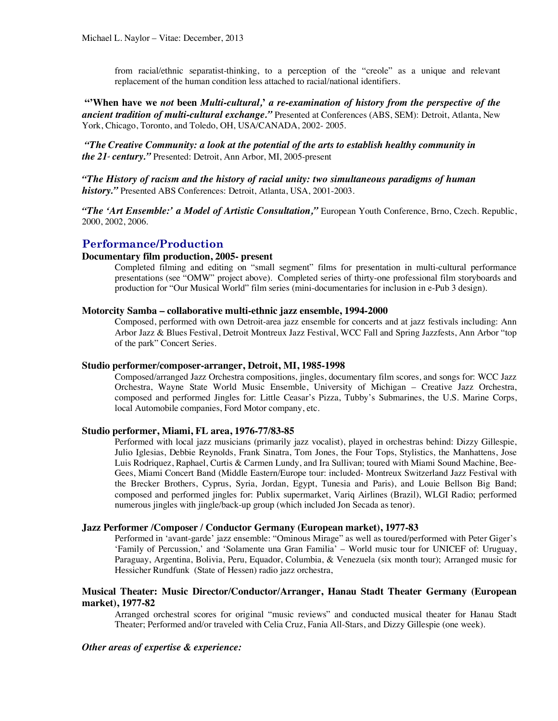from racial/ethnic separatist-thinking, to a perception of the "creole" as a unique and relevant replacement of the human condition less attached to racial/national identifiers.

**"'When have we** *not* **been** *Multi-cultural,***'** *a re-examination of history from the perspective of the ancient tradition of multi-cultural exchange."* Presented at Conferences (ABS, SEM): Detroit, Atlanta, New York, Chicago, Toronto, and Toledo, OH, USA/CANADA, 2002- 2005.

*"The Creative Community: a look at the potential of the arts to establish healthy community in the 21<sup>st</sup> century.*" Presented: Detroit, Ann Arbor, MI, 2005-present

*"The History of racism and the history of racial unity: two simultaneous paradigms of human history."* Presented ABS Conferences: Detroit, Atlanta, USA, 2001-2003.

*"The 'Art Ensemble:' a Model of Artistic Consultation,"* European Youth Conference, Brno, Czech. Republic, 2000, 2002, 2006.

#### **Performance/Production**

#### **Documentary film production, 2005- present**

Completed filming and editing on "small segment" films for presentation in multi-cultural performance presentations (see "OMW" project above). Completed series of thirty-one professional film storyboards and production for "Our Musical World" film series (mini-documentaries for inclusion in e-Pub 3 design).

#### **Motorcity Samba – collaborative multi-ethnic jazz ensemble, 1994-2000**

Composed, performed with own Detroit-area jazz ensemble for concerts and at jazz festivals including: Ann Arbor Jazz & Blues Festival, Detroit Montreux Jazz Festival, WCC Fall and Spring Jazzfests, Ann Arbor "top of the park" Concert Series.

#### **Studio performer/composer-arranger, Detroit, MI, 1985-1998**

Composed/arranged Jazz Orchestra compositions, jingles, documentary film scores, and songs for: WCC Jazz Orchestra, Wayne State World Music Ensemble, University of Michigan – Creative Jazz Orchestra, composed and performed Jingles for: Little Ceasar's Pizza, Tubby's Submarines, the U.S. Marine Corps, local Automobile companies, Ford Motor company, etc.

#### **Studio performer, Miami, FL area, 1976-77/83-85**

Performed with local jazz musicians (primarily jazz vocalist), played in orchestras behind: Dizzy Gillespie, Julio Iglesias, Debbie Reynolds, Frank Sinatra, Tom Jones, the Four Tops, Stylistics, the Manhattens, Jose Luis Rodriquez, Raphael, Curtis & Carmen Lundy, and Ira Sullivan; toured with Miami Sound Machine, Bee-Gees, Miami Concert Band (Middle Eastern/Europe tour: included- Montreux Switzerland Jazz Festival with the Brecker Brothers, Cyprus, Syria, Jordan, Egypt, Tunesia and Paris), and Louie Bellson Big Band; composed and performed jingles for: Publix supermarket, Variq Airlines (Brazil), WLGI Radio; performed numerous jingles with jingle/back-up group (which included Jon Secada as tenor).

#### **Jazz Performer /Composer / Conductor Germany (European market), 1977-83**

Performed in 'avant-garde' jazz ensemble: "Ominous Mirage" as well as toured/performed with Peter Giger's 'Family of Percussion,' and 'Solamente una Gran Familia' – World music tour for UNICEF of: Uruguay, Paraguay, Argentina, Bolivia, Peru, Equador, Columbia, & Venezuela (six month tour); Arranged music for Hessicher Rundfunk (State of Hessen) radio jazz orchestra,

#### **Musical Theater: Music Director/Conductor/Arranger, Hanau Stadt Theater Germany (European market), 1977-82**

Arranged orchestral scores for original "music reviews" and conducted musical theater for Hanau Stadt Theater; Performed and/or traveled with Celia Cruz, Fania All-Stars, and Dizzy Gillespie (one week).

#### *Other areas of expertise & experience:*